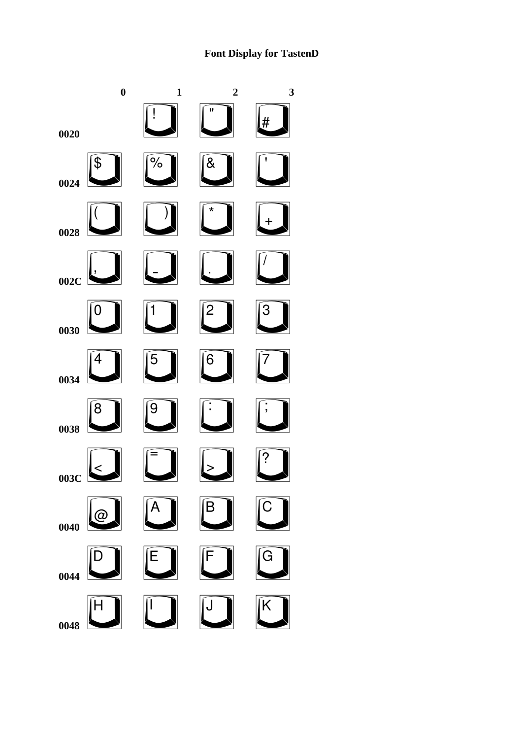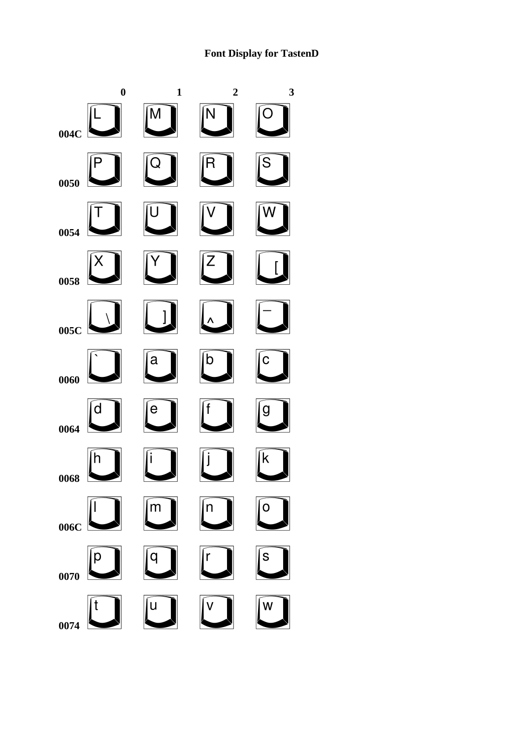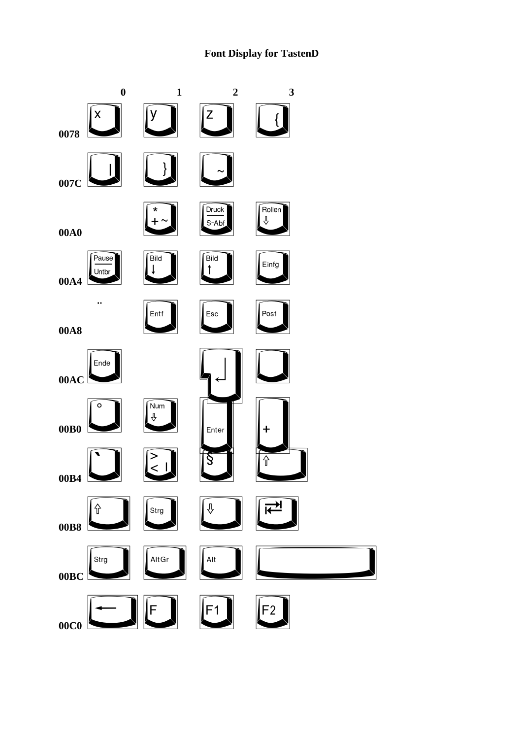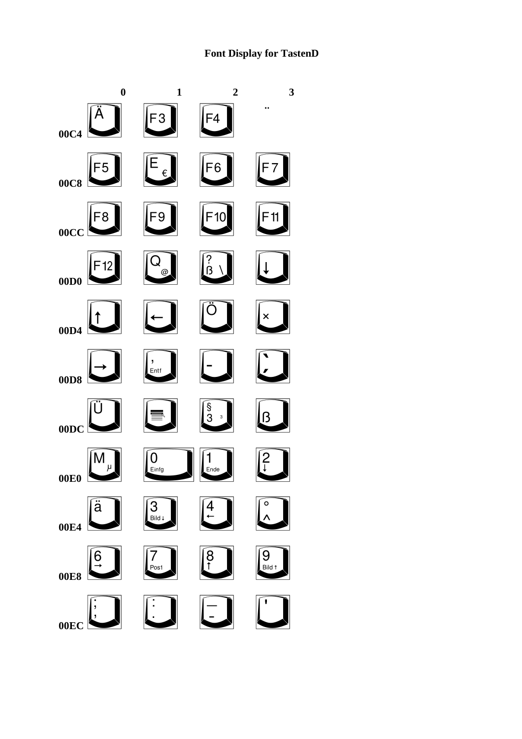